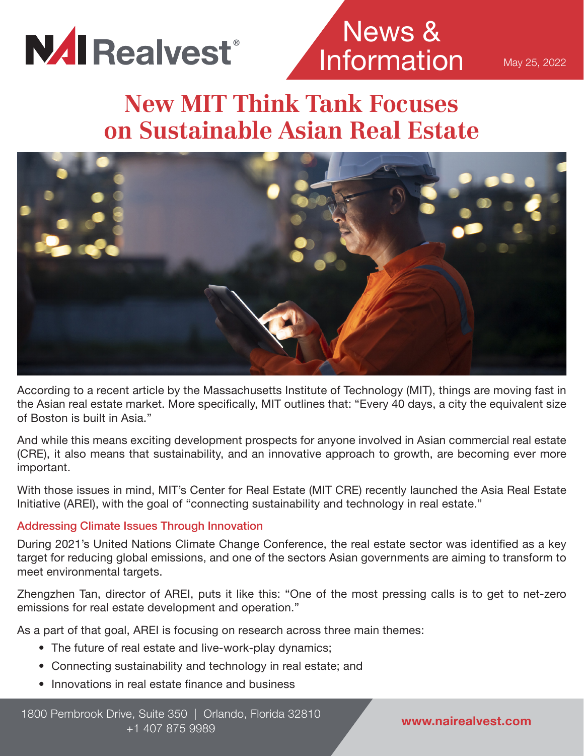

## News & Information

May 25, 2022

## **New MIT Think Tank Focuses on Sustainable Asian Real Estate**



According to a recent article by the Massachusetts Institute of Technology (MIT), things are moving fast in the Asian real estate market. More specifically, MIT outlines that: "Every 40 days, a city the equivalent size of Boston is built in Asia."

And while this means exciting development prospects for anyone involved in Asian commercial real estate (CRE), it also means that sustainability, and an innovative approach to growth, are becoming ever more important.

With those issues in mind, MIT's Center for Real Estate (MIT CRE) recently launched the Asia Real Estate Initiative (AREI), with the goal of "connecting sustainability and technology in real estate."

### Addressing Climate Issues Through Innovation

During 2021's United Nations Climate Change Conference, the real estate sector was identified as a key target for reducing global emissions, and one of the sectors Asian governments are aiming to transform to meet environmental targets.

Zhengzhen Tan, director of AREI, puts it like this: "One of the most pressing calls is to get to net-zero emissions for real estate development and operation."

As a part of that goal, AREI is focusing on research across three main themes:

- The future of real estate and live-work-play dynamics;
- Connecting sustainability and technology in real estate; and
- Innovations in real estate finance and business